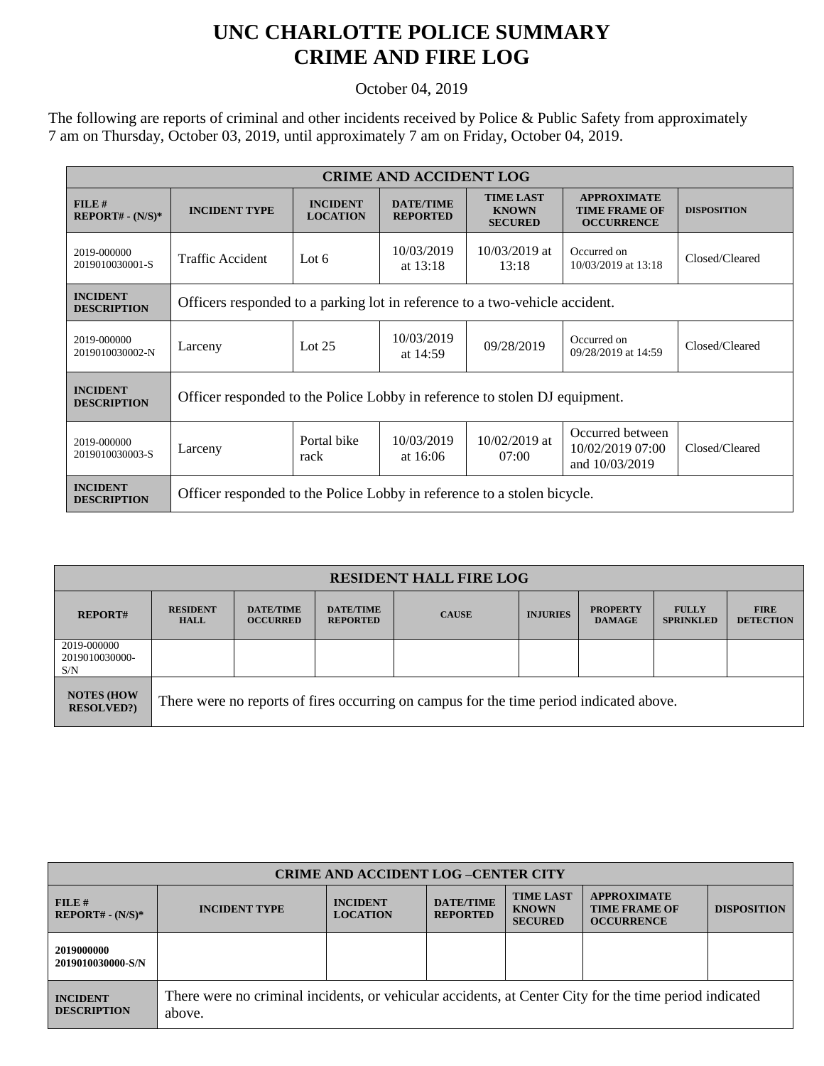## **UNC CHARLOTTE POLICE SUMMARY CRIME AND FIRE LOG**

October 04, 2019

The following are reports of criminal and other incidents received by Police & Public Safety from approximately 7 am on Thursday, October 03, 2019, until approximately 7 am on Friday, October 04, 2019.

| <b>CRIME AND ACCIDENT LOG</b>         |                                                                             |                                    |                                     |                                                    |                                                                 |                    |  |  |
|---------------------------------------|-----------------------------------------------------------------------------|------------------------------------|-------------------------------------|----------------------------------------------------|-----------------------------------------------------------------|--------------------|--|--|
| $FILE$ #<br>$REPORT# - (N/S)*$        | <b>INCIDENT TYPE</b>                                                        | <b>INCIDENT</b><br><b>LOCATION</b> | <b>DATE/TIME</b><br><b>REPORTED</b> | <b>TIME LAST</b><br><b>KNOWN</b><br><b>SECURED</b> | <b>APPROXIMATE</b><br><b>TIME FRAME OF</b><br><b>OCCURRENCE</b> | <b>DISPOSITION</b> |  |  |
| 2019-000000<br>2019010030001-S        | Traffic Accident                                                            | Lot $6$                            | 10/03/2019<br>at $13:18$            | $10/03/2019$ at<br>13:18                           | Occurred on<br>10/03/2019 at 13:18                              | Closed/Cleared     |  |  |
| <b>INCIDENT</b><br><b>DESCRIPTION</b> | Officers responded to a parking lot in reference to a two-vehicle accident. |                                    |                                     |                                                    |                                                                 |                    |  |  |
| 2019-000000<br>2019010030002-N        | Larceny                                                                     | Lot $25$                           | 10/03/2019<br>at $14:59$            | 09/28/2019                                         | Occurred on<br>09/28/2019 at 14:59                              | Closed/Cleared     |  |  |
| <b>INCIDENT</b><br><b>DESCRIPTION</b> | Officer responded to the Police Lobby in reference to stolen DJ equipment.  |                                    |                                     |                                                    |                                                                 |                    |  |  |
| 2019-000000<br>2019010030003-S        | Larceny                                                                     | Portal bike<br>rack                | 10/03/2019<br>at $16:06$            | $10/02/2019$ at<br>07:00                           | Occurred between<br>10/02/2019 07:00<br>and 10/03/2019          | Closed/Cleared     |  |  |
| <b>INCIDENT</b><br><b>DESCRIPTION</b> | Officer responded to the Police Lobby in reference to a stolen bicycle.     |                                    |                                     |                                                    |                                                                 |                    |  |  |

| <b>RESIDENT HALL FIRE LOG</b>          |                                                                                         |                                     |                                     |              |                 |                                  |                                  |                                 |
|----------------------------------------|-----------------------------------------------------------------------------------------|-------------------------------------|-------------------------------------|--------------|-----------------|----------------------------------|----------------------------------|---------------------------------|
| <b>REPORT#</b>                         | <b>RESIDENT</b><br><b>HALL</b>                                                          | <b>DATE/TIME</b><br><b>OCCURRED</b> | <b>DATE/TIME</b><br><b>REPORTED</b> | <b>CAUSE</b> | <b>INJURIES</b> | <b>PROPERTY</b><br><b>DAMAGE</b> | <b>FULLY</b><br><b>SPRINKLED</b> | <b>FIRE</b><br><b>DETECTION</b> |
| 2019-000000<br>2019010030000-<br>S/N   |                                                                                         |                                     |                                     |              |                 |                                  |                                  |                                 |
| <b>NOTES (HOW</b><br><b>RESOLVED?)</b> | There were no reports of fires occurring on campus for the time period indicated above. |                                     |                                     |              |                 |                                  |                                  |                                 |

| <b>CRIME AND ACCIDENT LOG-CENTER CITY</b> |                                                                                                                  |                                    |                                     |                                                    |                                                                 |                    |  |
|-------------------------------------------|------------------------------------------------------------------------------------------------------------------|------------------------------------|-------------------------------------|----------------------------------------------------|-----------------------------------------------------------------|--------------------|--|
| FILE#<br>$REPORT# - (N/S)*$               | <b>INCIDENT TYPE</b>                                                                                             | <b>INCIDENT</b><br><b>LOCATION</b> | <b>DATE/TIME</b><br><b>REPORTED</b> | <b>TIME LAST</b><br><b>KNOWN</b><br><b>SECURED</b> | <b>APPROXIMATE</b><br><b>TIME FRAME OF</b><br><b>OCCURRENCE</b> | <b>DISPOSITION</b> |  |
| 2019000000<br>2019010030000-S/N           |                                                                                                                  |                                    |                                     |                                                    |                                                                 |                    |  |
| <b>INCIDENT</b><br><b>DESCRIPTION</b>     | There were no criminal incidents, or vehicular accidents, at Center City for the time period indicated<br>above. |                                    |                                     |                                                    |                                                                 |                    |  |